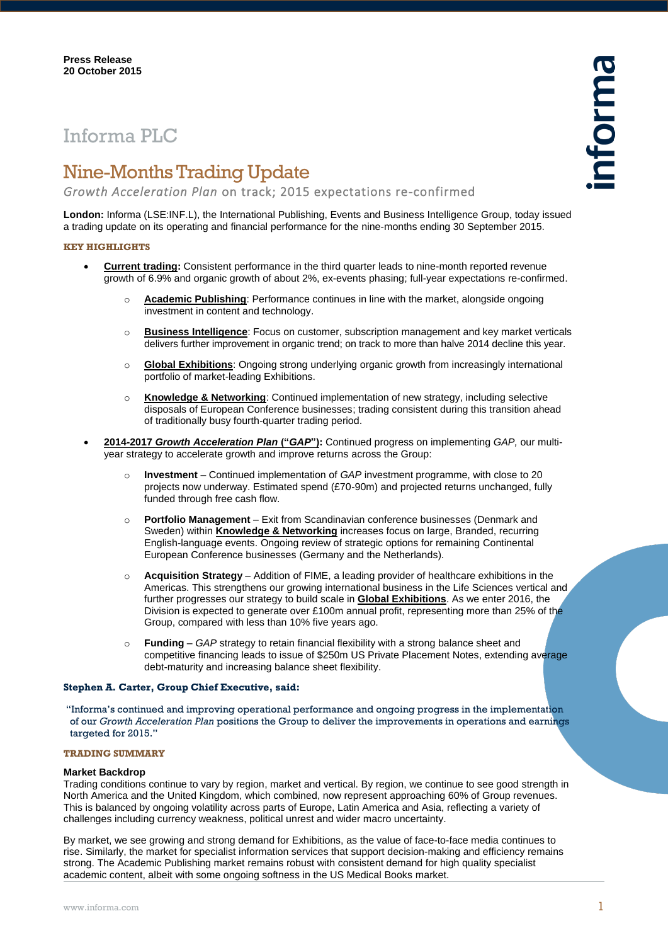# Informa PLC

## Nine-Months Trading Update

*Growth Acceleration Plan* on track; 2015 expectations re-confirmed

**London:** Informa (LSE:INF.L), the International Publishing, Events and Business Intelligence Group, today issued a trading update on its operating and financial performance for the nine-months ending 30 September 2015.

#### **KEY HIGHLIGHTS**

- **Current trading:** Consistent performance in the third quarter leads to nine-month reported revenue growth of 6.9% and organic growth of about 2%, ex-events phasing; full-year expectations re-confirmed.
	- o **Academic Publishing**: Performance continues in line with the market, alongside ongoing investment in content and technology.
	- o **Business Intelligence**: Focus on customer, subscription management and key market verticals delivers further improvement in organic trend; on track to more than halve 2014 decline this year.
	- o **Global Exhibitions**: Ongoing strong underlying organic growth from increasingly international portfolio of market-leading Exhibitions.
	- o **Knowledge & Networking**: Continued implementation of new strategy, including selective disposals of European Conference businesses; trading consistent during this transition ahead of traditionally busy fourth-quarter trading period.
- **2014-2017** *Growth Acceleration Plan* **("***GAP***"):** Continued progress on implementing *GAP,* our multiyear strategy to accelerate growth and improve returns across the Group:
	- o **Investment** Continued implementation of *GAP* investment programme, with close to 20 projects now underway. Estimated spend (£70-90m) and projected returns unchanged, fully funded through free cash flow.
	- o **Portfolio Management** Exit from Scandinavian conference businesses (Denmark and Sweden) within **Knowledge & Networking** increases focus on large, Branded, recurring English-language events. Ongoing review of strategic options for remaining Continental European Conference businesses (Germany and the Netherlands).
	- Acquisition Strategy Addition of FIME, a leading provider of healthcare exhibitions in the Americas. This strengthens our growing international business in the Life Sciences vertical and further progresses our strategy to build scale in **Global Exhibitions**. As we enter 2016, the Division is expected to generate over £100m annual profit, representing more than 25% of the Group, compared with less than 10% five years ago.
	- o **Funding** *GAP* strategy to retain financial flexibility with a strong balance sheet and competitive financing leads to issue of \$250m US Private Placement Notes, extending average debt-maturity and increasing balance sheet flexibility.

#### **Stephen A. Carter, Group Chief Executive, said:**

"Informa's continued and improving operational performance and ongoing progress in the implementation of our *Growth Acceleration Plan* positions the Group to deliver the improvements in operations and earnings targeted for 2015."

#### **TRADING SUMMARY**

#### **Market Backdrop**

Trading conditions continue to vary by region, market and vertical. By region, we continue to see good strength in North America and the United Kingdom, which combined, now represent approaching 60% of Group revenues. This is balanced by ongoing volatility across parts of Europe, Latin America and Asia, reflecting a variety of challenges including currency weakness, political unrest and wider macro uncertainty.

By market, we see growing and strong demand for Exhibitions, as the value of face-to-face media continues to rise. Similarly, the market for specialist information services that support decision-making and efficiency remains strong. The Academic Publishing market remains robust with consistent demand for high quality specialist academic content, albeit with some ongoing softness in the US Medical Books market.

nforma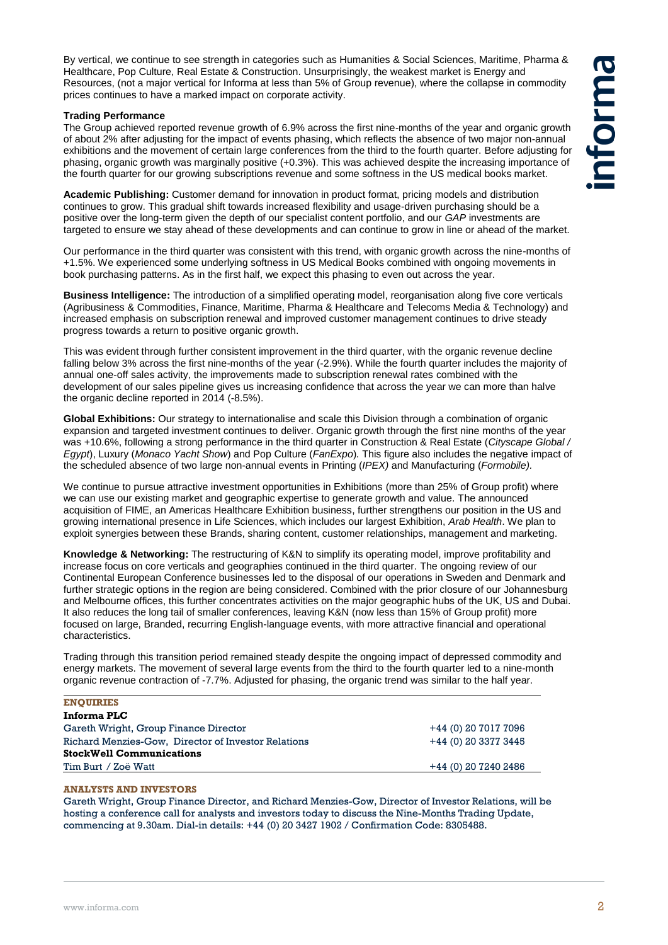By vertical, we continue to see strength in categories such as Humanities & Social Sciences, Maritime, Pharma & Healthcare, Pop Culture, Real Estate & Construction. Unsurprisingly, the weakest market is Energy and Resources, (not a major vertical for Informa at less than 5% of Group revenue), where the collapse in commodity prices continues to have a marked impact on corporate activity.

#### **Trading Performance**

The Group achieved reported revenue growth of 6.9% across the first nine-months of the year and organic growth of about 2% after adjusting for the impact of events phasing, which reflects the absence of two major non-annual exhibitions and the movement of certain large conferences from the third to the fourth quarter. Before adjusting for phasing, organic growth was marginally positive (+0.3%). This was achieved despite the increasing importance of the fourth quarter for our growing subscriptions revenue and some softness in the US medical books market.

**Academic Publishing:** Customer demand for innovation in product format, pricing models and distribution continues to grow. This gradual shift towards increased flexibility and usage-driven purchasing should be a positive over the long-term given the depth of our specialist content portfolio, and our *GAP* investments are targeted to ensure we stay ahead of these developments and can continue to grow in line or ahead of the market.

Our performance in the third quarter was consistent with this trend, with organic growth across the nine-months of +1.5%. We experienced some underlying softness in US Medical Books combined with ongoing movements in book purchasing patterns. As in the first half, we expect this phasing to even out across the year.

**Business Intelligence:** The introduction of a simplified operating model, reorganisation along five core verticals (Agribusiness & Commodities, Finance, Maritime, Pharma & Healthcare and Telecoms Media & Technology) and increased emphasis on subscription renewal and improved customer management continues to drive steady progress towards a return to positive organic growth.

This was evident through further consistent improvement in the third quarter, with the organic revenue decline falling below 3% across the first nine-months of the year (-2.9%). While the fourth quarter includes the majority of annual one-off sales activity, the improvements made to subscription renewal rates combined with the development of our sales pipeline gives us increasing confidence that across the year we can more than halve the organic decline reported in 2014 (-8.5%).

**Global Exhibitions:** Our strategy to internationalise and scale this Division through a combination of organic expansion and targeted investment continues to deliver. Organic growth through the first nine months of the year was +10.6%, following a strong performance in the third quarter in Construction & Real Estate (*Cityscape Global / Egypt*), Luxury (*Monaco Yacht Show*) and Pop Culture (*FanExpo*)*.* This figure also includes the negative impact of the scheduled absence of two large non-annual events in Printing (*IPEX)* and Manufacturing (*Formobile).*

We continue to pursue attractive investment opportunities in Exhibitions (more than 25% of Group profit) where we can use our existing market and geographic expertise to generate growth and value. The announced acquisition of FIME, an Americas Healthcare Exhibition business, further strengthens our position in the US and growing international presence in Life Sciences, which includes our largest Exhibition, *Arab Health*. We plan to exploit synergies between these Brands, sharing content, customer relationships, management and marketing.

**Knowledge & Networking:** The restructuring of K&N to simplify its operating model, improve profitability and increase focus on core verticals and geographies continued in the third quarter. The ongoing review of our Continental European Conference businesses led to the disposal of our operations in Sweden and Denmark and further strategic options in the region are being considered. Combined with the prior closure of our Johannesburg and Melbourne offices, this further concentrates activities on the major geographic hubs of the UK, US and Dubai. It also reduces the long tail of smaller conferences, leaving K&N (now less than 15% of Group profit) more focused on large, Branded, recurring English-language events, with more attractive financial and operational characteristics.

Trading through this transition period remained steady despite the ongoing impact of depressed commodity and energy markets. The movement of several large events from the third to the fourth quarter led to a nine-month organic revenue contraction of -7.7%. Adjusted for phasing, the organic trend was similar to the half year.

| <b>ENOUIRIES</b>                                    |                      |
|-----------------------------------------------------|----------------------|
| Informa PLC                                         |                      |
| Gareth Wright, Group Finance Director               | +44 (0) 20 7017 7096 |
| Richard Menzies-Gow, Director of Investor Relations | +44 (0) 20 3377 3445 |
| <b>StockWell Communications</b>                     |                      |
| Tim Burt / Zoë Watt                                 | +44 (0) 20 7240 2486 |
|                                                     |                      |

#### **ANALYSTS AND INVESTORS**

Gareth Wright, Group Finance Director, and Richard Menzies-Gow, Director of Investor Relations, will be hosting a conference call for analysts and investors today to discuss the Nine-Months Trading Update, commencing at 9.30am. Dial-in details: +44 (0) 20 3427 1902 / Confirmation Code: 8305488.